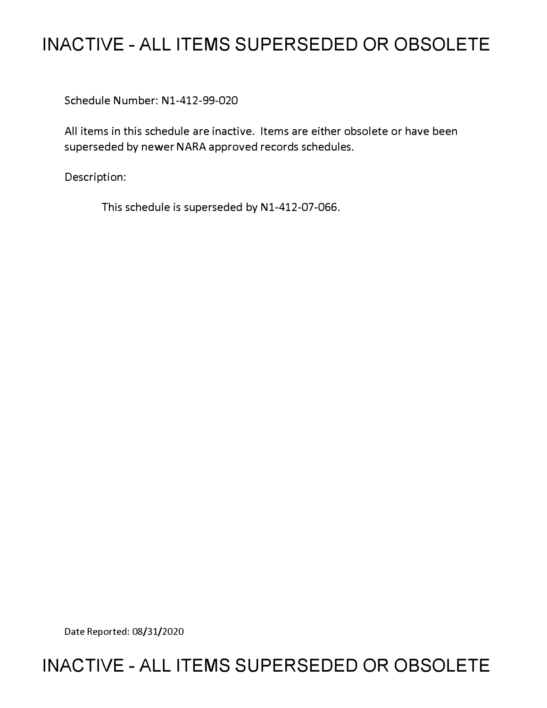# **INACTIVE - ALL ITEMS SUPERSEDED OR OBSOLETE**

Schedule Number: Nl-412-99-020

All items in this schedule are inactive. Items are either obsolete or have been superseded by newer NARA approved records schedules.

Description:

This schedule is superseded by N1-412-07-066.

Date Reported: 08/31/2020

# **INACTIVE - ALL ITEMS SUPERSEDED OR OBSOLETE**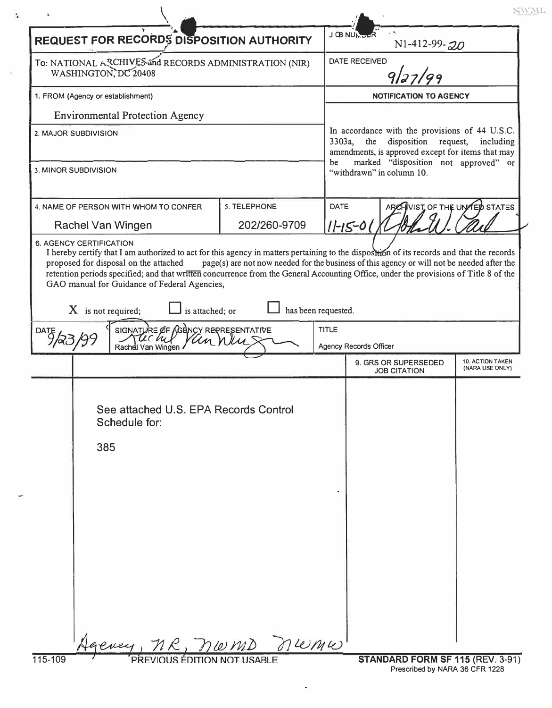|                                                                                                                            | <b>REQUEST FOR RECORDS DISPOSITION AUTHORITY</b> | ገ Œ MUI      |                                                                                                                                                     | N1-412-99-20                   |                                     |
|----------------------------------------------------------------------------------------------------------------------------|--------------------------------------------------|--------------|-----------------------------------------------------------------------------------------------------------------------------------------------------|--------------------------------|-------------------------------------|
| To: NATIONAL ARCHIVES and RECORDS ADMINISTRATION (NIR)<br>WASHINGTON, DC 20408<br>1. FROM (Agency or establishment)        |                                                  |              | <b>DATE RECEIVED</b><br>9/27/99                                                                                                                     |                                |                                     |
|                                                                                                                            |                                                  |              | <b>NOTIFICATION TO AGENCY</b>                                                                                                                       |                                |                                     |
| <b>Environmental Protection Agency</b>                                                                                     |                                                  |              |                                                                                                                                                     |                                |                                     |
| 2. MAJOR SUBDIVISION                                                                                                       |                                                  |              | In accordance with the provisions of 44 U.S.C.<br>3303a, the<br>disposition request, including<br>amendments, is approved except for items that may |                                |                                     |
| 3. MINOR SUBDIVISION                                                                                                       |                                                  |              | marked "disposition not approved" or<br>be<br>"withdrawn" in column 10.                                                                             |                                |                                     |
| 4. NAME OF PERSON WITH WHOM TO CONFER                                                                                      | 5. TELEPHONE                                     | <b>DATE</b>  |                                                                                                                                                     | ARCHIVIST OF THE UNITED STATES |                                     |
| Rachel Van Wingen                                                                                                          | 202/260-9709                                     |              | $11 - 15 - 01$                                                                                                                                      |                                |                                     |
| is attached; or<br>has been requested.<br>SIGNATURE OF AGENCY REPRESENTATIVE<br>DATE<br>uchel<br>Un n<br>Rachdl Van Wingen |                                                  |              |                                                                                                                                                     |                                |                                     |
| $X$ is not required;                                                                                                       |                                                  |              |                                                                                                                                                     |                                |                                     |
|                                                                                                                            |                                                  | <b>TITLE</b> | Agency Records Officer                                                                                                                              |                                |                                     |
|                                                                                                                            |                                                  |              | 9. GRS OR SUPERSEDED<br><b>JOB CITATION</b>                                                                                                         |                                | 10. ACTION TAKEN<br>(NARA USE ONLY) |
| See attached U.S. EPA Records Control<br>Schedule for:<br>385                                                              |                                                  |              |                                                                                                                                                     |                                |                                     |
|                                                                                                                            |                                                  |              |                                                                                                                                                     |                                |                                     |
|                                                                                                                            |                                                  |              |                                                                                                                                                     |                                |                                     |
|                                                                                                                            |                                                  |              |                                                                                                                                                     |                                |                                     |
| Jeevey, MR, normo numu                                                                                                     |                                                  |              |                                                                                                                                                     |                                |                                     |

 $\sigma_{\rm f}$ 

 $\ddot{\bullet}$ 

Ď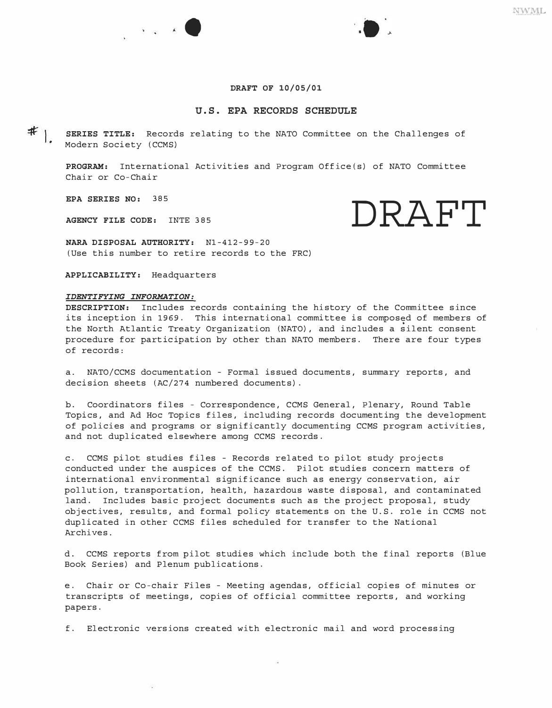# **DRAFT OF 10/05/01**

# **U.S. EPA RECORDS SCHEDULE**

 $*$ <sub>1.</sub> **SERIES TITLE:** Records relating to the NATO Committee on the Challenges of Modern Society (CCMS)

**PROGRAM:** International Activities and Program Office(s) of NATO Committee Chair or Co-Chair

**EPA SERIES NO:** 385

AGENCY FILE CODE: INTE 385 **DRAFT** 

**NARA DISPOSAL AUTHORITY:** Nl-412-99-20 (Use this number to retire records to the FRC)

•

**APPLICABILITY:** Headquarters

## *IDENTIFYING INFORMATION:*

**DESCRIPTION:** Includes records containing the history of the Committee since its inception in 1969. This international committee is composed of members of the North Atlantic Treaty Organization (NATO), and includes a silent consent procedure for participation by other than NATO members. There are four types of records:

a. NATO/CCMS documentation - Formal issued documents, summary reports, and decision sheets (AC/274 numbered documents).

b. Coordinators files - Correspondence, CCMS General, Plenary, Round Table Topics, and Ad Hoc Topics files, including records documenting the development of policies and programs or significantly documenting CCMS program activities, and not duplicated elsewhere among CCMS records.

c. CCMS pilot studies files - Records related to pilot study projects conducted under the auspices of the CCMS. Pilot studies concern matters of international environmental significance such as energy conservation, air pollution, transportation, health, hazardous waste disposal, and contaminated land. Includes basic project documents such as the project proposal, study objectives, results, and formal policy statements on the U.S. role in CCMS not duplicated in other CCMS files scheduled for transfer to the National Archives.

d. CCMS reports from pilot studies which include both the final reports (Blue Book Series) and Plenum publications.

e. Chair or Co-chair Files - Meeting agendas, official copies of minutes or transcripts of meetings, copies of official committee reports, and working papers.

f. Electronic versions created with electronic mail and word processing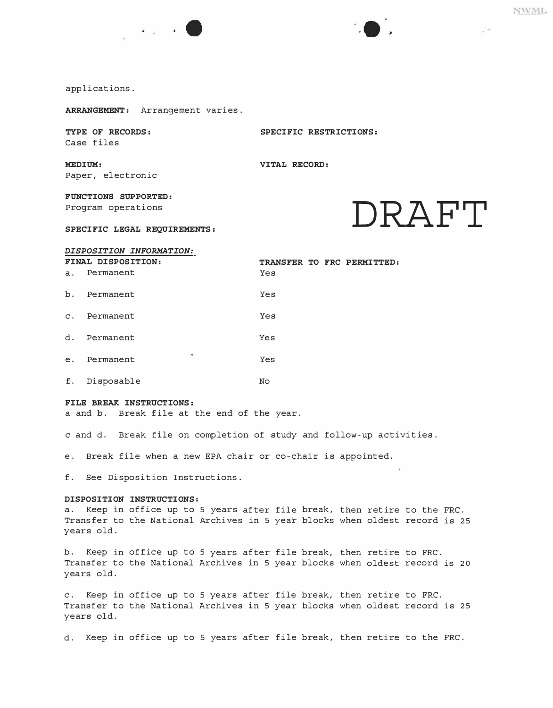$\mathbb{R}^{22}$ 





*ARRANGEMENT:* Arrangement varies.

*TYPE OF RECORDS: SPECIFIC RESTRICTIONS:*  Case files

*MEDIUM: VITAL RECORD:*  Paper, electronic

*FUNCTIONS SUPPORTED:*  Program operations

# Program operations<br>
SPECIFIC LEGAL REQUIREMENTS:

# *DISPOSITION INFORMATION:*

| a.             | FINAL DISPOSITION:<br>Permanent | TRANSFER TO FRC PERMITTED:<br>Yes |  |
|----------------|---------------------------------|-----------------------------------|--|
| b <sub>1</sub> | Permanent                       | Yes                               |  |
| $\mathbf{C}$ . | Permanent                       | Yes                               |  |
| $d_{\odot}$    | Permanent                       | Yes                               |  |
| e <sub>1</sub> | $\bullet$<br>Permanent          | Yes                               |  |
| f.             | Disposable                      | No                                |  |

### *FILE BREAK INSTRUCTIONS:*

a and b. Break file at the end of the year.

c and d. Break file on completion of study and follow-up activities.

e. Break file when a new EPA chair or co-chair is appointed.

f. See Disposition Instructions.

# *DISPOSITION INSTRUCTIONS:*

a. Keep in office up to **5** years after file break, then retire to the FRC. Transfer to the National Archives in **5** year blocks when oldest record is **25**  years old.

b. Keep in office up to 5 years after file break, then retire to FRC. Transfer to the National Archives in **5** year blocks when oldest record is **20**  years old.

c. Keep in office up to 5 years after file break, then retire to FRC. Transfer to the National Archives in **5** year blocks when oldest record is **25**  years old.

d. Keep in office up to 5 years after file break, then retire to the FRC.